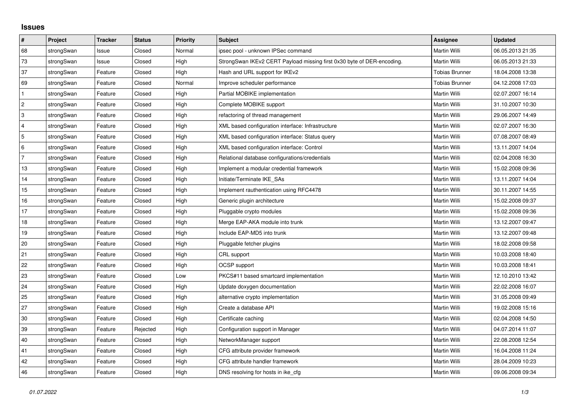## **Issues**

| #              | Project    | <b>Tracker</b> | <b>Status</b> | <b>Priority</b> | <b>Subject</b>                                                         | <b>Assignee</b>       | <b>Updated</b>   |
|----------------|------------|----------------|---------------|-----------------|------------------------------------------------------------------------|-----------------------|------------------|
| 68             | strongSwan | Issue          | Closed        | Normal          | ipsec pool - unknown IPSec command                                     | <b>Martin Willi</b>   | 06.05.2013 21:35 |
| 73             | strongSwan | Issue          | Closed        | High            | StrongSwan IKEv2 CERT Payload missing first 0x30 byte of DER-encoding. | Martin Willi          | 06.05.2013 21:33 |
| 37             | strongSwan | Feature        | Closed        | High            | Hash and URL support for IKEv2                                         | <b>Tobias Brunner</b> | 18.04.2008 13:38 |
| 69             | strongSwan | Feature        | Closed        | Normal          | Improve scheduler performance                                          | <b>Tobias Brunner</b> | 04.12.2008 17:03 |
| $\mathbf{1}$   | strongSwan | Feature        | Closed        | High            | Partial MOBIKE implementation                                          | Martin Willi          | 02.07.2007 16:14 |
| $\overline{c}$ | strongSwan | Feature        | Closed        | High            | Complete MOBIKE support                                                | <b>Martin Willi</b>   | 31.10.2007 10:30 |
| 3              | strongSwan | Feature        | Closed        | High            | refactoring of thread management                                       | Martin Willi          | 29.06.2007 14:49 |
| $\overline{4}$ | strongSwan | Feature        | Closed        | High            | XML based configuration interface: Infrastructure                      | Martin Willi          | 02.07.2007 16:30 |
| 5              | strongSwan | Feature        | Closed        | High            | XML based configuration interface: Status query                        | Martin Willi          | 07.08.2007 08:49 |
| 6              | strongSwan | Feature        | Closed        | High            | XML based configuration interface: Control                             | Martin Willi          | 13.11.2007 14:04 |
| $\overline{7}$ | strongSwan | Feature        | Closed        | High            | Relational database configurations/credentials                         | Martin Willi          | 02.04.2008 16:30 |
| 13             | strongSwan | Feature        | Closed        | High            | Implement a modular credential framework                               | Martin Willi          | 15.02.2008 09:36 |
| 14             | strongSwan | Feature        | Closed        | High            | Initiate/Terminate IKE_SAs                                             | Martin Willi          | 13.11.2007 14:04 |
| 15             | strongSwan | Feature        | Closed        | High            | Implement rauthentication using RFC4478                                | Martin Willi          | 30.11.2007 14:55 |
| 16             | strongSwan | Feature        | Closed        | High            | Generic plugin architecture                                            | Martin Willi          | 15.02.2008 09:37 |
| 17             | strongSwan | Feature        | Closed        | High            | Pluggable crypto modules                                               | Martin Willi          | 15.02.2008 09:36 |
| 18             | strongSwan | Feature        | Closed        | High            | Merge EAP-AKA module into trunk                                        | Martin Willi          | 13.12.2007 09:47 |
| 19             | strongSwan | Feature        | Closed        | High            | Include EAP-MD5 into trunk                                             | Martin Willi          | 13.12.2007 09:48 |
| 20             | strongSwan | Feature        | Closed        | High            | Pluggable fetcher plugins                                              | Martin Willi          | 18.02.2008 09:58 |
| 21             | strongSwan | Feature        | Closed        | High            | CRL support                                                            | Martin Willi          | 10.03.2008 18:40 |
| 22             | strongSwan | Feature        | Closed        | High            | OCSP support                                                           | Martin Willi          | 10.03.2008 18:41 |
| 23             | strongSwan | Feature        | Closed        | Low             | PKCS#11 based smartcard implementation                                 | Martin Willi          | 12.10.2010 13:42 |
| 24             | strongSwan | Feature        | Closed        | High            | Update doxygen documentation                                           | Martin Willi          | 22.02.2008 16:07 |
| 25             | strongSwan | Feature        | Closed        | High            | alternative crypto implementation                                      | Martin Willi          | 31.05.2008 09:49 |
| 27             | strongSwan | Feature        | Closed        | High            | Create a database API                                                  | Martin Willi          | 19.02.2008 15:16 |
| 30             | strongSwan | Feature        | Closed        | High            | Certificate caching                                                    | Martin Willi          | 02.04.2008 14:50 |
| 39             | strongSwan | Feature        | Rejected      | High            | Configuration support in Manager                                       | Martin Willi          | 04.07.2014 11:07 |
| 40             | strongSwan | Feature        | Closed        | High            | NetworkManager support                                                 | Martin Willi          | 22.08.2008 12:54 |
| 41             | strongSwan | Feature        | Closed        | High            | CFG attribute provider framework                                       | Martin Willi          | 16.04.2008 11:24 |
| 42             | strongSwan | Feature        | Closed        | High            | CFG attribute handler framework                                        | Martin Willi          | 28.04.2009 10:23 |
| 46             | strongSwan | Feature        | Closed        | High            | DNS resolving for hosts in ike_cfg                                     | Martin Willi          | 09.06.2008 09:34 |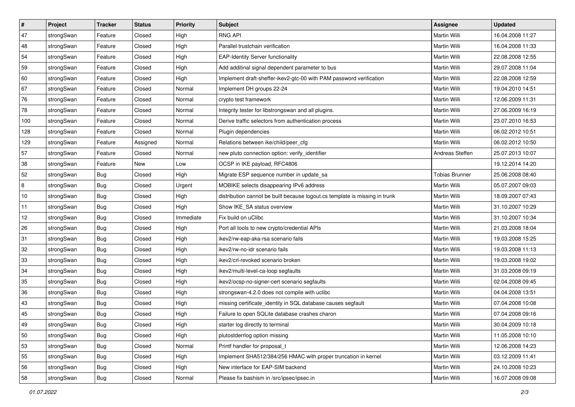| $\vert$ # | Project    | <b>Tracker</b> | <b>Status</b> | <b>Priority</b> | <b>Subject</b>                                                              | <b>Assignee</b>       | <b>Updated</b>   |
|-----------|------------|----------------|---------------|-----------------|-----------------------------------------------------------------------------|-----------------------|------------------|
| 47        | strongSwan | Feature        | Closed        | High            | <b>RNG API</b>                                                              | Martin Willi          | 16.04.2008 11:27 |
| 48        | strongSwan | Feature        | Closed        | High            | Parallel trustchain verification                                            | <b>Martin Willi</b>   | 16.04.2008 11:33 |
| 54        | strongSwan | Feature        | Closed        | High            | <b>EAP-Identity Server functionality</b>                                    | Martin Willi          | 22.08.2008 12:55 |
| 59        | strongSwan | Feature        | Closed        | High            | Add additinal signal dependent parameter to bus                             | Martin Willi          | 29.07.2008 11:04 |
| 60        | strongSwan | Feature        | Closed        | High            | Implement draft-sheffer-ikev2-gtc-00 with PAM password verification         | Martin Willi          | 22.08.2008 12:59 |
| 67        | strongSwan | Feature        | Closed        | Normal          | Implement DH groups 22-24                                                   | Martin Willi          | 19.04.2010 14:51 |
| 76        | strongSwan | Feature        | Closed        | Normal          | crypto test framework                                                       | Martin Willi          | 12.06.2009 11:31 |
| 78        | strongSwan | Feature        | Closed        | Normal          | Integrity tester for libstrongswan and all plugins.                         | Martin Willi          | 27.06.2009 16:19 |
| 100       | strongSwan | Feature        | Closed        | Normal          | Derive traffic selectors from authentication process                        | Martin Willi          | 23.07.2010 16:53 |
| 128       | strongSwan | Feature        | Closed        | Normal          | Plugin dependencies                                                         | Martin Willi          | 06.02.2012 10:51 |
| 129       | strongSwan | Feature        | Assigned      | Normal          | Relations between ike/child/peer_cfg                                        | Martin Willi          | 06.02.2012 10:50 |
| 57        | strongSwan | Feature        | Closed        | Normal          | new pluto connection option: verify_identifier                              | Andreas Steffen       | 25.07.2013 10:07 |
| 38        | strongSwan | Feature        | <b>New</b>    | Low             | OCSP in IKE payload, RFC4806                                                |                       | 19.12.2014 14:20 |
| 52        | strongSwan | <b>Bug</b>     | Closed        | High            | Migrate ESP sequence number in update_sa                                    | <b>Tobias Brunner</b> | 25.06.2008 08:40 |
| 8         | strongSwan | Bug            | Closed        | Urgent          | MOBIKE selects disappearing IPv6 address                                    | Martin Willi          | 05.07.2007 09:03 |
| 10        | strongSwan | <b>Bug</b>     | Closed        | High            | distribution cannot be built because logout.cs template is missing in trunk | Martin Willi          | 18.09.2007 07:43 |
| 11        | strongSwan | <b>Bug</b>     | Closed        | High            | Show IKE SA status overview                                                 | <b>Martin Willi</b>   | 31.10.2007 10:29 |
| 12        | strongSwan | Bug            | Closed        | Immediate       | Fix build on uClibc                                                         | Martin Willi          | 31.10.2007 10:34 |
| 26        | strongSwan | <b>Bug</b>     | Closed        | High            | Port all tools to new crypto/credential APIs                                | Martin Willi          | 21.03.2008 18:04 |
| 31        | strongSwan | Bug            | Closed        | High            | ikev2/rw-eap-aka-rsa scenario fails                                         | Martin Willi          | 19.03.2008 15:25 |
| 32        | strongSwan | Bug            | Closed        | High            | ikev2/rw-no-idr scenario fails                                              | Martin Willi          | 19.03.2008 11:13 |
| 33        | strongSwan | <b>Bug</b>     | Closed        | High            | ikev2/crl-revoked scenario broken                                           | Martin Willi          | 19.03.2008 19:02 |
| 34        | strongSwan | Bug            | Closed        | High            | ikev2/multi-level-ca-loop segfaults                                         | Martin Willi          | 31.03.2008 09:19 |
| 35        | strongSwan | Bug            | Closed        | High            | ikev2/ocsp-no-signer-cert scenario segfaults                                | Martin Willi          | 02.04.2008 09:45 |
| 36        | strongSwan | <b>Bug</b>     | Closed        | High            | strongswan-4.2.0 does not compile with uclibc                               | Martin Willi          | 04.04.2008 13:51 |
| 43        | strongSwan | <b>Bug</b>     | Closed        | High            | missing certificate_identity in SQL database causes segfault                | Martin Willi          | 07.04.2008 10:08 |
| 45        | strongSwan | Bug            | Closed        | High            | Failure to open SQLite database crashes charon                              | Martin Willi          | 07.04.2008 09:16 |
| 49        | strongSwan | Bug            | Closed        | High            | starter log directly to terminal                                            | Martin Willi          | 30.04.2009 10:18 |
| 50        | strongSwan | Bug            | Closed        | High            | plutostderrlog option missing                                               | Martin Willi          | 11.05.2008 10:10 |
| 53        | strongSwan | Bug            | Closed        | Normal          | Printf handler for proposal_t                                               | Martin Willi          | 12.06.2008 14:23 |
| 55        | strongSwan | Bug            | Closed        | High            | Implement SHA512/384/256 HMAC with proper truncation in kernel              | Martin Willi          | 03.12.2009 11:41 |
| 56        | strongSwan | Bug            | Closed        | High            | New interface for EAP-SIM backend                                           | Martin Willi          | 24.10.2008 10:23 |
| 58        | strongSwan | Bug            | Closed        | Normal          | Please fix bashism in /src/ipsec/ipsec.in                                   | Martin Willi          | 16.07.2008 09:08 |